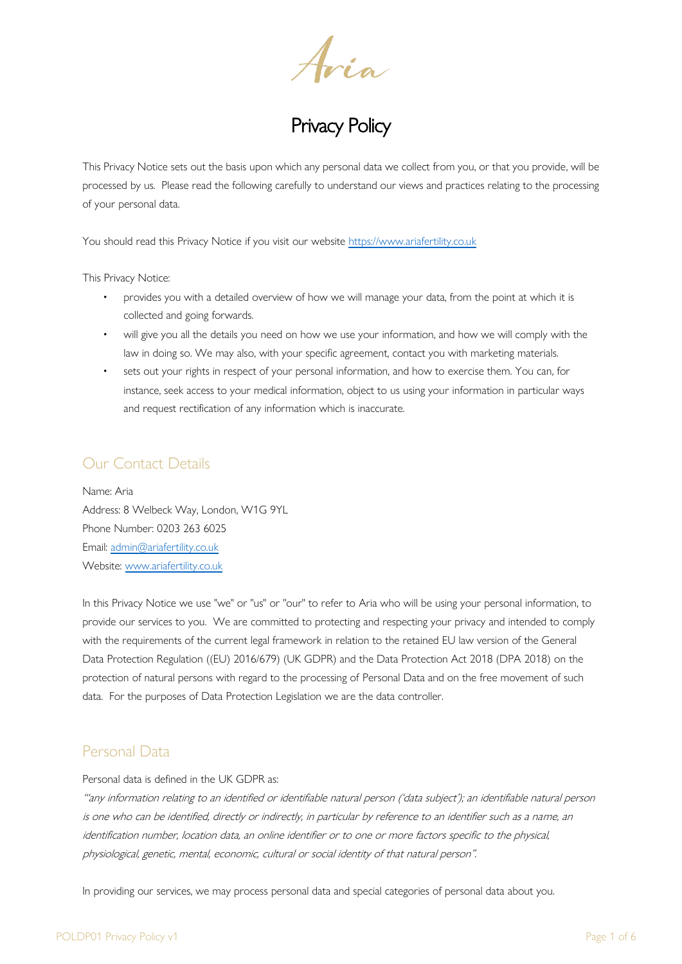Aria<br>Privacy Policy

This Privacy Notice sets out the basis upon which any personal data we collect from you, or that you provide, will be processed by us. Please read the following carefully to understand our views and practices relating to the processing of your personal data.

You should read this Privacy Notice if you visit our website [https://www.ariafertility.co.uk](https://www.ariafertility.co.uk/)

This Privacy Notice:

- provides you with a detailed overview of how we will manage your data, from the point at which it is collected and going forwards.
- will give you all the details you need on how we use your information, and how we will comply with the law in doing so. We may also, with your specific agreement, contact you with marketing materials.
- sets out your rights in respect of your personal information, and how to exercise them. You can, for instance, seek access to your medical information, object to us using your information in particular ways and request rectification of any information which is inaccurate.

### Our Contact Details

Name: Aria Address: 8 Welbeck Way, London, W1G 9YL Phone Number: 0203 263 6025 Email: [admin@ariafertility.co.uk](mailto:admin@ariafertility.co.uk) Website: [www.ariafertility.co.uk](http://www.ariafertility.co.uk/)

In this Privacy Notice we use "we" or "us" or "our" to refer to Aria who will be using your personal information, to provide our services to you. We are committed to protecting and respecting your privacy and intended to comply with the requirements of the current legal framework in relation to the retained EU law version of the General Data Protection Regulation ((EU) 2016/679) (UK GDPR) and the Data Protection Act 2018 (DPA 2018) on the protection of natural persons with regard to the processing of Personal Data and on the free movement of such data. For the purposes of Data Protection Legislation we are the data controller.

## Personal Data

Personal data is defined in the UK GDPR as:

"'any information relating to an identified or identifiable natural person ('data subject'); an identifiable natural person is one who can be identified, directly or indirectly, in particular by reference to an identifier such as a name, an identification number, location data, an online identifier or to one or more factors specific to the physical, physiological, genetic, mental, economic, cultural or social identity of that natural person".

In providing our services, we may process personal data and special categories of personal data about you.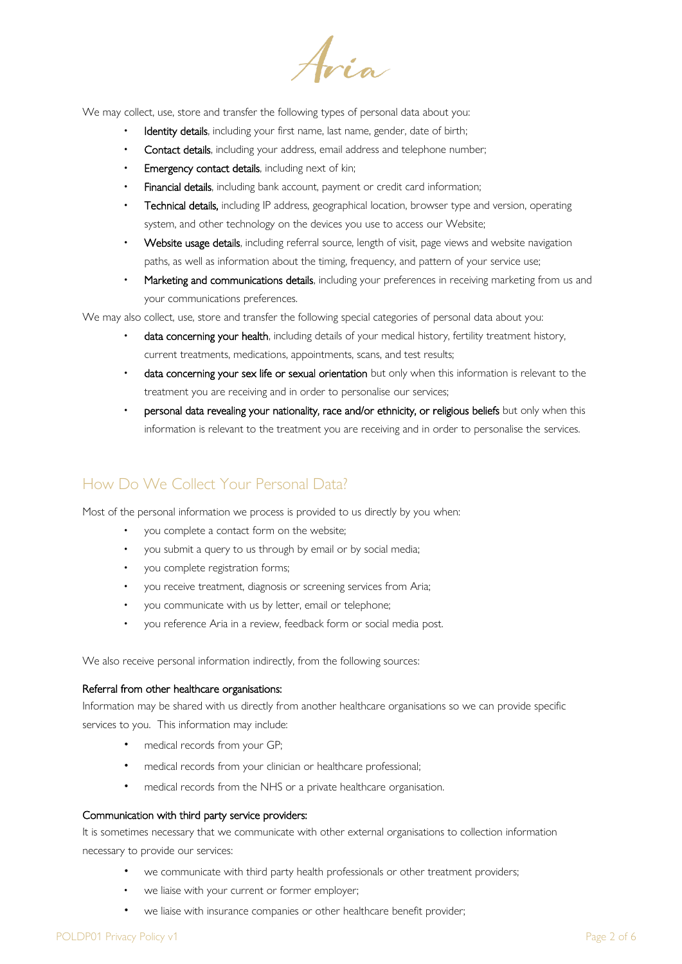Aria

We may collect, use, store and transfer the following types of personal data about you:

- Identity details, including your first name, last name, gender, date of birth;
- Contact details, including your address, email address and telephone number;
- Emergency contact details, including next of kin;
- Financial details, including bank account, payment or credit card information;
- Technical details, including IP address, geographical location, browser type and version, operating system, and other technology on the devices you use to access our Website;
- Website usage details, including referral source, length of visit, page views and website navigation paths, as well as information about the timing, frequency, and pattern of your service use;
- Marketing and communications details, including your preferences in receiving marketing from us and your communications preferences.

We may also collect, use, store and transfer the following special categories of personal data about you:

- data concerning your health, including details of your medical history, fertility treatment history, current treatments, medications, appointments, scans, and test results;
- data concerning your sex life or sexual orientation but only when this information is relevant to the treatment you are receiving and in order to personalise our services;
- personal data revealing your nationality, race and/or ethnicity, or religious beliefs but only when this information is relevant to the treatment you are receiving and in order to personalise the services.

## How Do We Collect Your Personal Data?

Most of the personal information we process is provided to us directly by you when:

- you complete a contact form on the website;
- you submit a query to us through by email or by social media;
- you complete registration forms;
- you receive treatment, diagnosis or screening services from Aria;
- you communicate with us by letter, email or telephone;
- you reference Aria in a review, feedback form or social media post.

We also receive personal information indirectly, from the following sources:

#### Referral from other healthcare organisations:

Information may be shared with us directly from another healthcare organisations so we can provide specific services to you. This information may include:

- medical records from your GP;
- medical records from your clinician or healthcare professional;
- medical records from the NHS or a private healthcare organisation.

#### Communication with third party service providers:

It is sometimes necessary that we communicate with other external organisations to collection information necessary to provide our services:

- we communicate with third party health professionals or other treatment providers;
- we liaise with your current or former employer;
- we liaise with insurance companies or other healthcare benefit provider;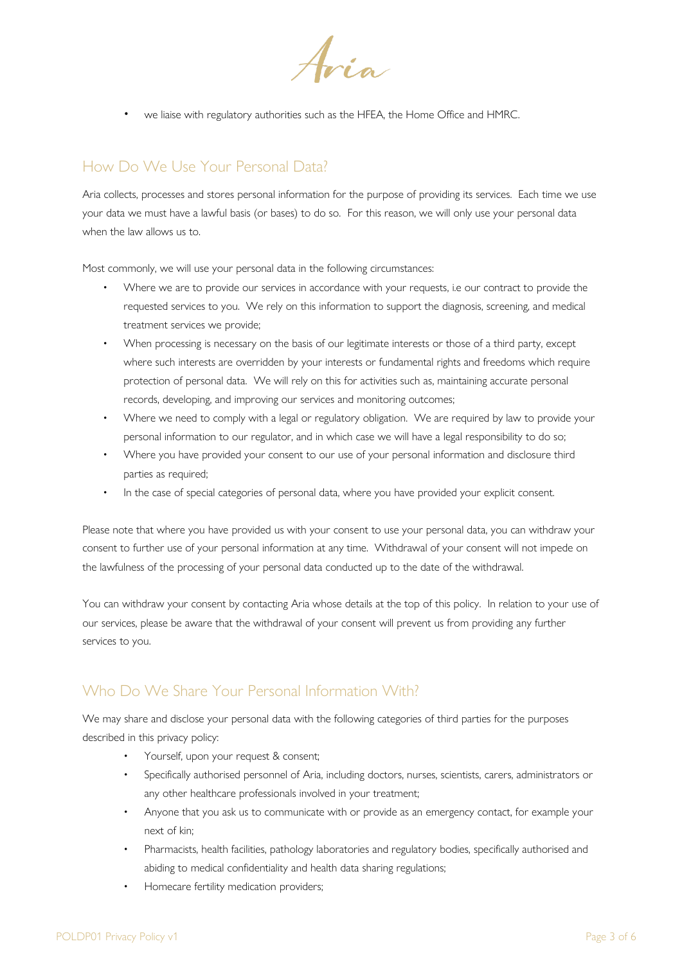Aria

we liaise with regulatory authorities such as the HFEA, the Home Office and HMRC.

# How Do We Use Your Personal Data?

Aria collects, processes and stores personal information for the purpose of providing its services. Each time we use your data we must have a lawful basis (or bases) to do so. For this reason, we will only use your personal data when the law allows us to.

Most commonly, we will use your personal data in the following circumstances:

- Where we are to provide our services in accordance with your requests, i.e our contract to provide the requested services to you. We rely on this information to support the diagnosis, screening, and medical treatment services we provide;
- When processing is necessary on the basis of our legitimate interests or those of a third party, except where such interests are overridden by your interests or fundamental rights and freedoms which require protection of personal data. We will rely on this for activities such as, maintaining accurate personal records, developing, and improving our services and monitoring outcomes;
- Where we need to comply with a legal or regulatory obligation. We are required by law to provide your personal information to our regulator, and in which case we will have a legal responsibility to do so;
- Where you have provided your consent to our use of your personal information and disclosure third parties as required;
- In the case of special categories of personal data, where you have provided your explicit consent.

Please note that where you have provided us with your consent to use your personal data, you can withdraw your consent to further use of your personal information at any time. Withdrawal of your consent will not impede on the lawfulness of the processing of your personal data conducted up to the date of the withdrawal.

You can withdraw your consent by contacting Aria whose details at the top of this policy. In relation to your use of our services, please be aware that the withdrawal of your consent will prevent us from providing any further services to you.

## Who Do We Share Your Personal Information With?

We may share and disclose your personal data with the following categories of third parties for the purposes described in this privacy policy:

- Yourself, upon your request & consent;
- Specifically authorised personnel of Aria, including doctors, nurses, scientists, carers, administrators or any other healthcare professionals involved in your treatment;
- Anyone that you ask us to communicate with or provide as an emergency contact, for example your next of kin;
- Pharmacists, health facilities, pathology laboratories and regulatory bodies, specifically authorised and abiding to medical confidentiality and health data sharing regulations;
- Homecare fertility medication providers;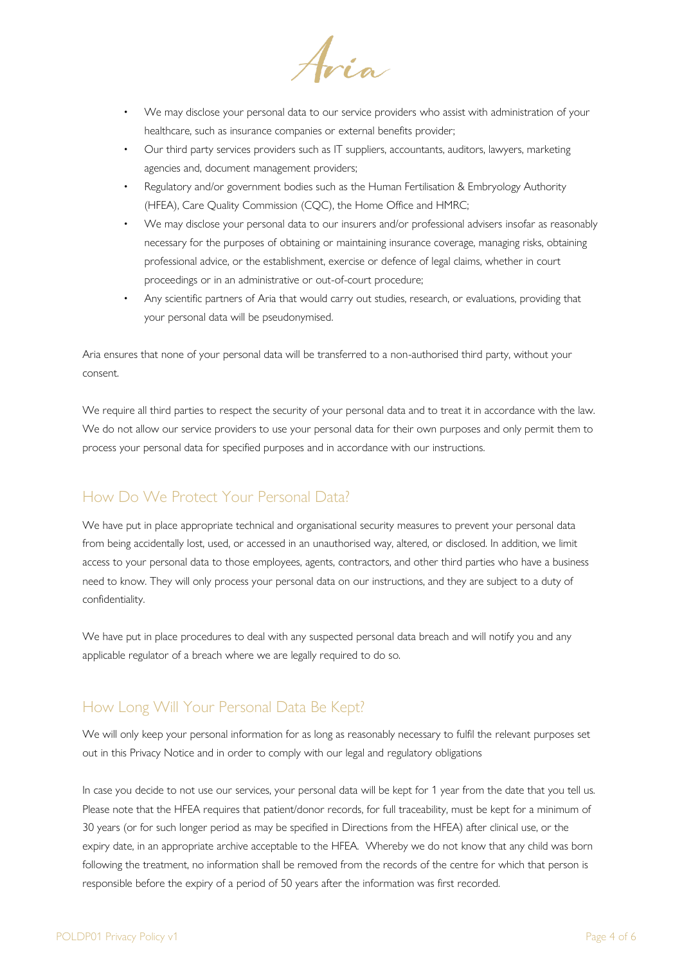Aria

- We may disclose your personal data to our service providers who assist with administration of your healthcare, such as insurance companies or external benefits provider;
- Our third party services providers such as IT suppliers, accountants, auditors, lawyers, marketing agencies and, document management providers;
- Regulatory and/or government bodies such as the Human Fertilisation & Embryology Authority (HFEA), Care Quality Commission (CQC), the Home Office and HMRC;
- We may disclose your personal data to our insurers and/or professional advisers insofar as reasonably necessary for the purposes of obtaining or maintaining insurance coverage, managing risks, obtaining professional advice, or the establishment, exercise or defence of legal claims, whether in court proceedings or in an administrative or out-of-court procedure;
- Any scientific partners of Aria that would carry out studies, research, or evaluations, providing that your personal data will be pseudonymised.

Aria ensures that none of your personal data will be transferred to a non-authorised third party, without your consent.

We require all third parties to respect the security of your personal data and to treat it in accordance with the law. We do not allow our service providers to use your personal data for their own purposes and only permit them to process your personal data for specified purposes and in accordance with our instructions.

# How Do We Protect Your Personal Data?

We have put in place appropriate technical and organisational security measures to prevent your personal data from being accidentally lost, used, or accessed in an unauthorised way, altered, or disclosed. In addition, we limit access to your personal data to those employees, agents, contractors, and other third parties who have a business need to know. They will only process your personal data on our instructions, and they are subject to a duty of confidentiality.

We have put in place procedures to deal with any suspected personal data breach and will notify you and any applicable regulator of a breach where we are legally required to do so.

## How Long Will Your Personal Data Be Kept?

We will only keep your personal information for as long as reasonably necessary to fulfil the relevant purposes set out in this Privacy Notice and in order to comply with our legal and regulatory obligations

In case you decide to not use our services, your personal data will be kept for 1 year from the date that you tell us. Please note that the HFEA requires that patient/donor records, for full traceability, must be kept for a minimum of 30 years (or for such longer period as may be specified in Directions from the HFEA) after clinical use, or the expiry date, in an appropriate archive acceptable to the HFEA. Whereby we do not know that any child was born following the treatment, no information shall be removed from the records of the centre for which that person is responsible before the expiry of a period of 50 years after the information was first recorded.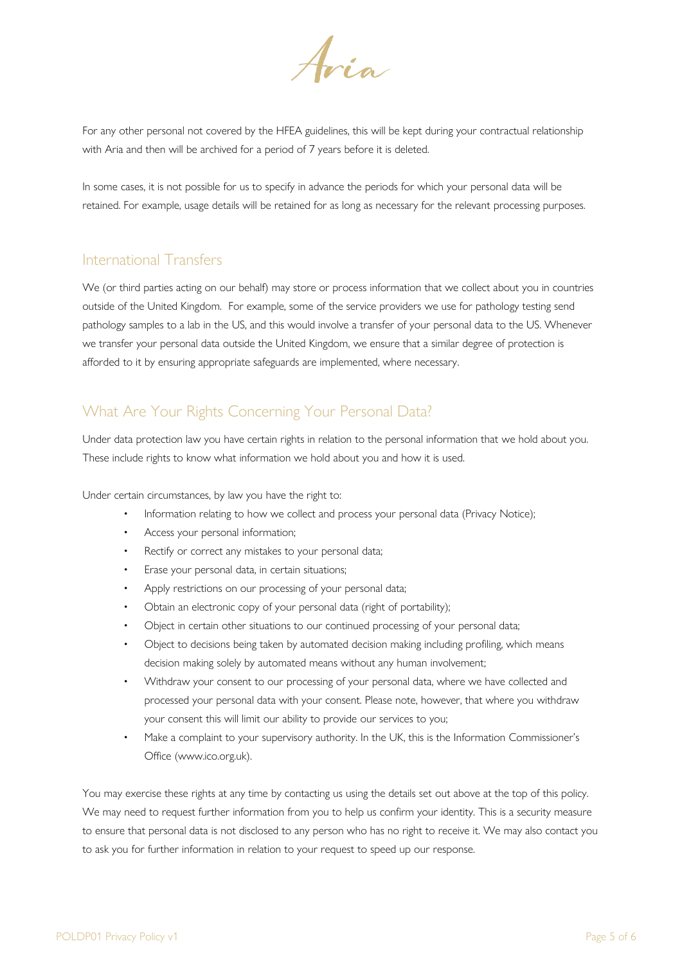Aria

For any other personal not covered by the HFEA guidelines, this will be kept during your contractual relationship with Aria and then will be archived for a period of 7 years before it is deleted.

In some cases, it is not possible for us to specify in advance the periods for which your personal data will be retained. For example, usage details will be retained for as long as necessary for the relevant processing purposes.

#### International Transfers

We (or third parties acting on our behalf) may store or process information that we collect about you in countries outside of the United Kingdom. For example, some of the service providers we use for pathology testing send pathology samples to a lab in the US, and this would involve a transfer of your personal data to the US. Whenever we transfer your personal data outside the United Kingdom, we ensure that a similar degree of protection is afforded to it by ensuring appropriate safeguards are implemented, where necessary.

# What Are Your Rights Concerning Your Personal Data?

Under data protection law you have certain rights in relation to the personal information that we hold about you. These include rights to know what information we hold about you and how it is used.

Under certain circumstances, by law you have the right to:

- Information relating to how we collect and process your personal data (Privacy Notice);
- Access your personal information;
- Rectify or correct any mistakes to your personal data;
- Erase your personal data, in certain situations;
- Apply restrictions on our processing of your personal data;
- Obtain an electronic copy of your personal data (right of portability);
- Object in certain other situations to our continued processing of your personal data;
- Object to decisions being taken by automated decision making including profiling, which means decision making solely by automated means without any human involvement;
- Withdraw your consent to our processing of your personal data, where we have collected and processed your personal data with your consent. Please note, however, that where you withdraw your consent this will limit our ability to provide our services to you;
- Make a complaint to your supervisory authority. In the UK, this is the Information Commissioner's Office (www.ico.org.uk).

You may exercise these rights at any time by contacting us using the details set out above at the top of this policy. We may need to request further information from you to help us confirm your identity. This is a security measure to ensure that personal data is not disclosed to any person who has no right to receive it. We may also contact you to ask you for further information in relation to your request to speed up our response.